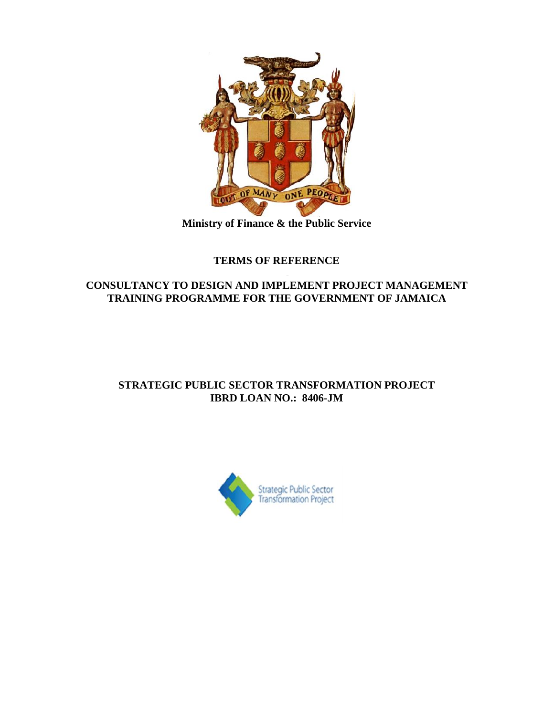

**Ministry of Finance & the Public Service**

# **TERMS OF REFERENCE**

## **CONSULTANCY TO DESIGN AND IMPLEMENT PROJECT MANAGEMENT TRAINING PROGRAMME FOR THE GOVERNMENT OF JAMAICA**

# **STRATEGIC PUBLIC SECTOR TRANSFORMATION PROJECT IBRD LOAN NO.: 8406-JM**

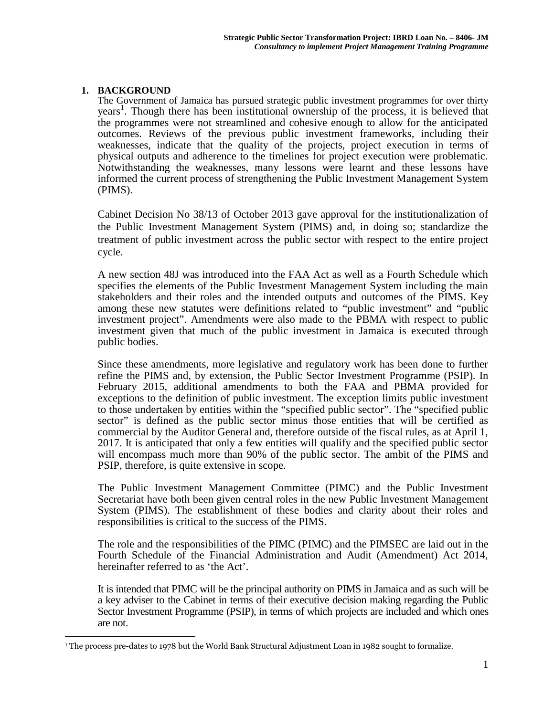#### **1. BACKGROUND**

The Government of Jamaica has pursued strategic public investment programmes for over thirty years 1 . Though there has been institutional ownership of the process, it is believed that the programmes were not streamlined and cohesive enough to allow for the anticipated outcomes. Reviews of the previous public investment frameworks, including their weaknesses, indicate that the quality of the projects, project execution in terms of physical outputs and adherence to the timelines for project execution were problematic. Notwithstanding the weaknesses, many lessons were learnt and these lessons have informed the current process of strengthening the Public Investment Management System (PIMS).

Cabinet Decision No 38/13 of October 2013 gave approval for the institutionalization of the Public Investment Management System (PIMS) and, in doing so; standardize the treatment of public investment across the public sector with respect to the entire project cycle.

A new section 48J was introduced into the FAA Act as well as a Fourth Schedule which specifies the elements of the Public Investment Management System including the main stakeholders and their roles and the intended outputs and outcomes of the PIMS. Key among these new statutes were definitions related to "public investment" and "public investment project". Amendments were also made to the PBMA with respect to public investment given that much of the public investment in Jamaica is executed through public bodies.

Since these amendments, more legislative and regulatory work has been done to further refine the PIMS and, by extension, the Public Sector Investment Programme (PSIP). In February 2015, additional amendments to both the FAA and PBMA provided for exceptions to the definition of public investment. The exception limits public investment to those undertaken by entities within the "specified public sector". The "specified public sector" is defined as the public sector minus those entities that will be certified as commercial by the Auditor General and, therefore outside of the fiscal rules, as at April 1, 2017. It is anticipated that only a few entities will qualify and the specified public sector will encompass much more than 90% of the public sector. The ambit of the PIMS and PSIP, therefore, is quite extensive in scope.

The Public Investment Management Committee (PIMC) and the Public Investment Secretariat have both been given central roles in the new Public Investment Management System (PIMS). The establishment of these bodies and clarity about their roles and responsibilities is critical to the success of the PIMS.

The role and the responsibilities of the PIMC (PIMC) and the PIMSEC are laid out in the Fourth Schedule of the Financial Administration and Audit (Amendment) Act 2014, hereinafter referred to as 'the Act'.

It is intended that PIMC will be the principal authority on PIMS in Jamaica and as such will be a key adviser to the Cabinet in terms of their executive decision making regarding the Public Sector Investment Programme (PSIP), in terms of which projects are included and which ones are not.

<sup>1</sup> The process pre-dates to 1978 but the World Bank Structural Adjustment Loan in 1982 sought to formalize.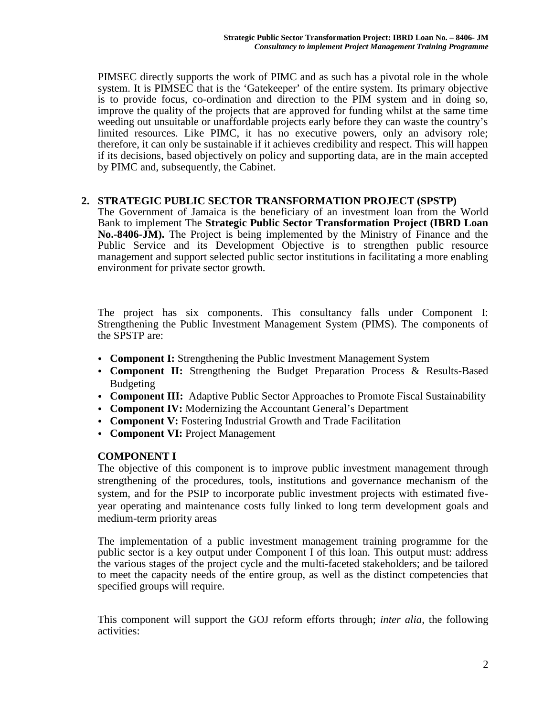PIMSEC directly supports the work of PIMC and as such has a pivotal role in the whole system. It is PIMSEC that is the 'Gatekeeper' of the entire system. Its primary objective is to provide focus, co-ordination and direction to the PIM system and in doing so, improve the quality of the projects that are approved for funding whilst at the same time weeding out unsuitable or unaffordable projects early before they can waste the country's limited resources. Like PIMC, it has no executive powers, only an advisory role; therefore, it can only be sustainable if it achieves credibility and respect. This will happen if its decisions, based objectively on policy and supporting data, are in the main accepted by PIMC and, subsequently, the Cabinet.

#### **2. STRATEGIC PUBLIC SECTOR TRANSFORMATION PROJECT (SPSTP)**

The Government of Jamaica is the beneficiary of an investment loan from the World Bank to implement The **Strategic Public Sector Transformation Project (IBRD Loan No.-8406-JM).** The Project is being implemented by the Ministry of Finance and the Public Service and its Development Objective is to strengthen public resource management and support selected public sector institutions in facilitating a more enabling environment for private sector growth.

The project has six components. This consultancy falls under Component I: Strengthening the Public Investment Management System (PIMS). The components of the SPSTP are:

- **Component I:** Strengthening the Public Investment Management System
- **Component II:** Strengthening the Budget Preparation Process & Results-Based Budgeting
- **Component III:** Adaptive Public Sector Approaches to Promote Fiscal Sustainability
- **Component IV:** Modernizing the Accountant General's Department
- **Component V:** Fostering Industrial Growth and Trade Facilitation
- **Component VI:** Project Management

#### **COMPONENT I**

The objective of this component is to improve public investment management through strengthening of the procedures, tools, institutions and governance mechanism of the system, and for the PSIP to incorporate public investment projects with estimated five year operating and maintenance costs fully linked to long term development goals and medium-term priority areas

The implementation of a public investment management training programme for the public sector is a key output under Component I of this loan. This output must: address the various stages of the project cycle and the multi-faceted stakeholders; and be tailored to meet the capacity needs of the entire group, as well as the distinct competencies that specified groups will require.

This component will support the GOJ reform efforts through; *inter alia*, the following activities: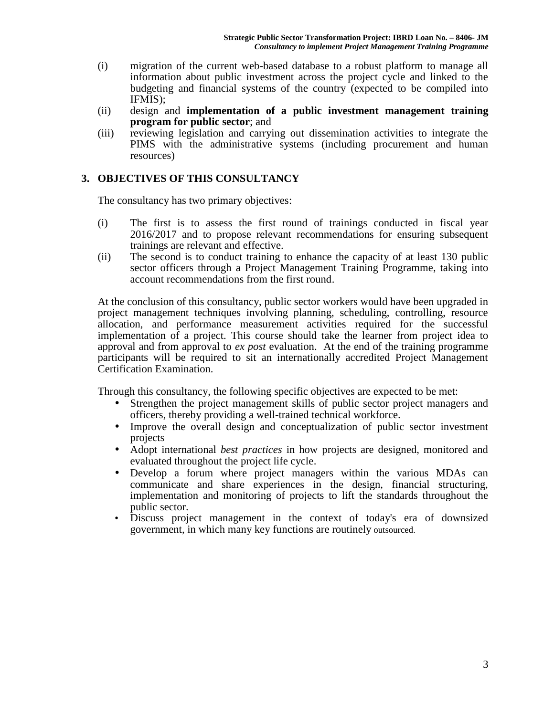- (i) migration of the current web-based database to a robust platform to manage all information about public investment across the project cycle and linked to the budgeting and financial systems of the country (expected to be compiled into IFMIS);
- (ii) design and **implementation of a public investment management training program for public sector**; and
- (iii) reviewing legislation and carrying out dissemination activities to integrate the PIMS with the administrative systems (including procurement and human resources)

#### **3. OBJECTIVES OF THIS CONSULTANCY**

The consultancy has two primary objectives:

- (i) The first is to assess the first round of trainings conducted in fiscal year 2016/2017 and to propose relevant recommendations for ensuring subsequent trainings are relevant and effective.
- (ii) The second is to conduct training to enhance the capacity of at least 130 public sector officers through a Project Management Training Programme, taking into account recommendations from the first round.

At the conclusion of this consultancy, public sector workers would have been upgraded in project management techniques involving planning, scheduling, controlling, resource allocation, and performance measurement activities required for the successful implementation of a project. This course should take the learner from project idea to approval and from approval to *ex post* evaluation. At the end of the training programme participants will be required to sit an internationally accredited Project Management Certification Examination.

Through this consultancy, the following specific objectives are expected to be met:

- Strengthen the project management skills of public sector project managers and officers, thereby providing a well-trained technical workforce.
- Improve the overall design and conceptualization of public sector investment projects
- Adopt international *best practices* in how projects are designed, monitored and evaluated throughout the project life cycle.
- Develop a forum where project managers within the various MDAs can communicate and share experiences in the design, financial structuring, implementation and monitoring of projects to lift the standards throughout the public sector.
- Discuss project management in the context of today's era of downsized government, in which many key functions are routinely outsourced.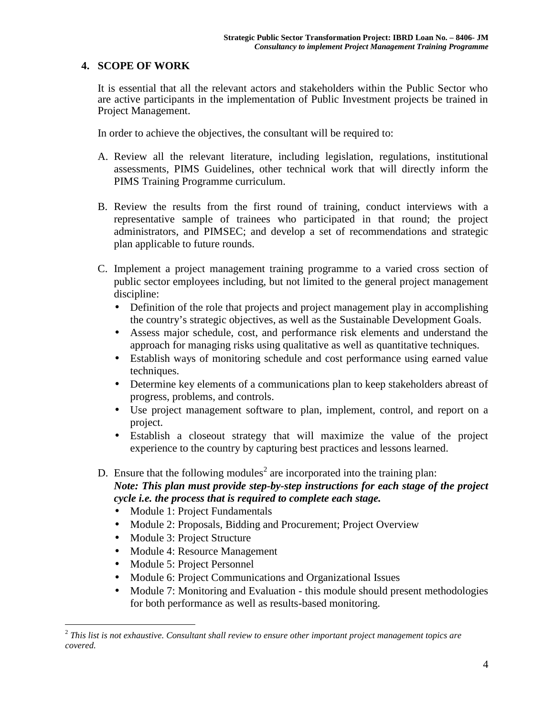#### **4. SCOPE OF WORK**

It is essential that all the relevant actors and stakeholders within the Public Sector who are active participants in the implementation of Public Investment projects be trained in Project Management.

In order to achieve the objectives, the consultant will be required to:

- A. Review all the relevant literature, including legislation, regulations, institutional assessments, PIMS Guidelines, other technical work that will directly inform the PIMS Training Programme curriculum.
- B. Review the results from the first round of training, conduct interviews with a representative sample of trainees who participated in that round; the project administrators, and PIMSEC; and develop a set of recommendations and strategic plan applicable to future rounds.
- C. Implement a project management training programme to a varied cross section of public sector employees including, but not limited to the general project management discipline:
	- Definition of the role that projects and project management play in accomplishing the country's strategic objectives, as well as the Sustainable Development Goals.
	- Assess major schedule, cost, and performance risk elements and understand the approach for managing risks using qualitative as well as quantitative techniques.
	- Establish ways of monitoring schedule and cost performance using earned value techniques.
	- Determine key elements of a communications plan to keep stakeholders abreast of progress, problems, and controls.
	- Use project management software to plan, implement, control, and report on a project.
	- Establish a closeout strategy that will maximize the value of the project experience to the country by capturing best practices and lessons learned.

D. Ensure that the following modules<sup>2</sup> are incorporated into the training plan: *Note: This plan must provide step-by-step instructions for each stage of the project cycle i.e. the process that is required to complete each stage.*

- Module 1: Project Fundamentals
- Module 2: Proposals, Bidding and Procurement; Project Overview
- Module 3: Project Structure
- Module 4: Resource Management
- Module 5: Project Personnel
- Module 6: Project Communications and Organizational Issues
- Module 7: Monitoring and Evaluation this module should present methodologies for both performance as well as results-based monitoring.

<sup>2</sup> *This list is not exhaustive. Consultant shall review to ensure other important project management topics are covered.*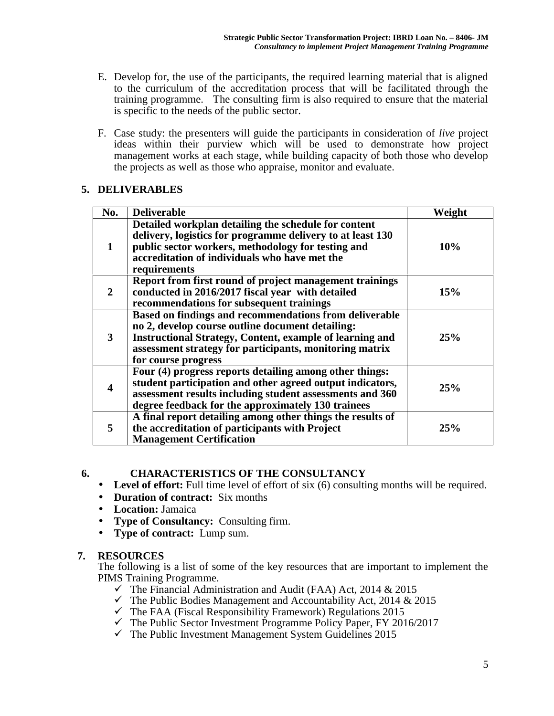- E. Develop for, the use of the participants, the required learning material that is aligned to the curriculum of the accreditation process that will be facilitated through the training programme. The consulting firm is also required to ensure that the material is specific to the needs of the public sector.
- F. Case study: the presenters will guide the participants in consideration of *live* project ideas within their purview which will be used to demonstrate how project management works at each stage, while building capacity of both those who develop the projects as well as those who appraise, monitor and evaluate.

### **5. DELIVERABLES**

| No.                     | <b>Deliverable</b>                                                                                                                                                                                                                                              | Weight     |
|-------------------------|-----------------------------------------------------------------------------------------------------------------------------------------------------------------------------------------------------------------------------------------------------------------|------------|
| 1                       | Detailed workplan detailing the schedule for content<br>delivery, logistics for programme delivery to at least 130<br>public sector workers, methodology for testing and<br>accreditation of individuals who have met the<br>requirements                       | 10%        |
| $\mathbf{2}$            | Report from first round of project management trainings<br>conducted in 2016/2017 fiscal year with detailed<br>recommendations for subsequent trainings                                                                                                         | <b>15%</b> |
| 3                       | Based on findings and recommendations from deliverable<br>no 2, develop course outline document detailing:<br><b>Instructional Strategy, Content, example of learning and</b><br>assessment strategy for participants, monitoring matrix<br>for course progress | 25%        |
| $\overline{\mathbf{4}}$ | Four (4) progress reports detailing among other things:<br>student participation and other agreed output indicators,<br>assessment results including student assessments and 360<br>degree feedback for the approximately 130 trainees                          | 25%        |
| 5                       | A final report detailing among other things the results of<br>the accreditation of participants with Project<br><b>Management Certification</b>                                                                                                                 | 25%        |

## **6. CHARACTERISTICS OF THE CONSULTANCY**

- **Level of effort:** Full time level of effort of six (6) consulting months will be required.
- **Duration of contract:** Six months
- **Location:** Jamaica
- **Type of Consultancy:** Consulting firm.
- **Type of contract:** Lump sum.

## **7. RESOURCES**

The following is a list of some of the key resources that are important to implement the PIMS Training Programme.

- $\checkmark$  The Financial Administration and Audit (FAA) Act, 2014 & 2015
- $\checkmark$  The Public Bodies Management and Accountability Act, 2014 & 2015
- $\checkmark$  The FAA (Fiscal Responsibility Framework) Regulations 2015
- $\checkmark$  The Public Sector Investment Programme Policy Paper, FY 2016/2017
- $\checkmark$  The Public Investment Management System Guidelines 2015